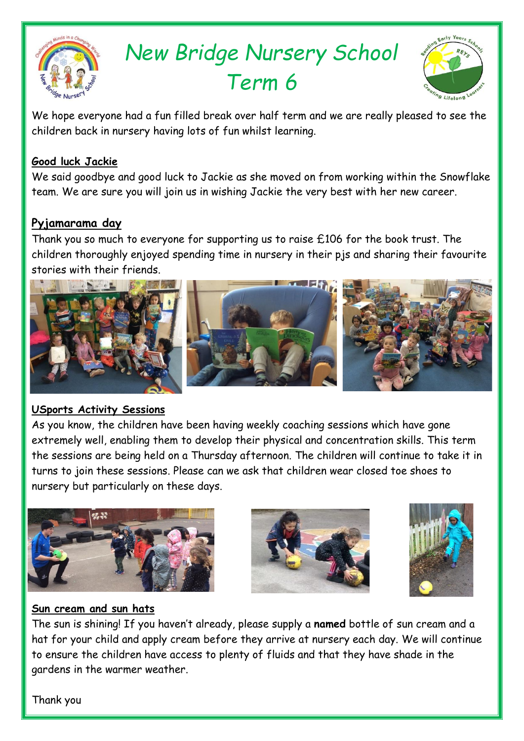

# *New Bridge Nursery School Term 6*



We hope everyone had a fun filled break over half term and we are really pleased to see the children back in nursery having lots of fun whilst learning.

## **Good luck Jackie**

We said goodbye and good luck to Jackie as she moved on from working within the Snowflake team. We are sure you will join us in wishing Jackie the very best with her new career.

# **Pyjamarama day**

Thank you so much to everyone for supporting us to raise £106 for the book trust. The children thoroughly enjoyed spending time in nursery in their pjs and sharing their favourite stories with their friends.



#### **USports Activity Sessions**

As you know, the children have been having weekly coaching sessions which have gone extremely well, enabling them to develop their physical and concentration skills. This term the sessions are being held on a Thursday afternoon. The children will continue to take it in turns to join these sessions. Please can we ask that children wear closed toe shoes to nursery but particularly on these days.







# **Sun cream and sun hats**

The sun is shining! If you haven't already, please supply a **named** bottle of sun cream and a hat for your child and apply cream before they arrive at nursery each day. We will continue to ensure the children have access to plenty of fluids and that they have shade in the gardens in the warmer weather.

Thank you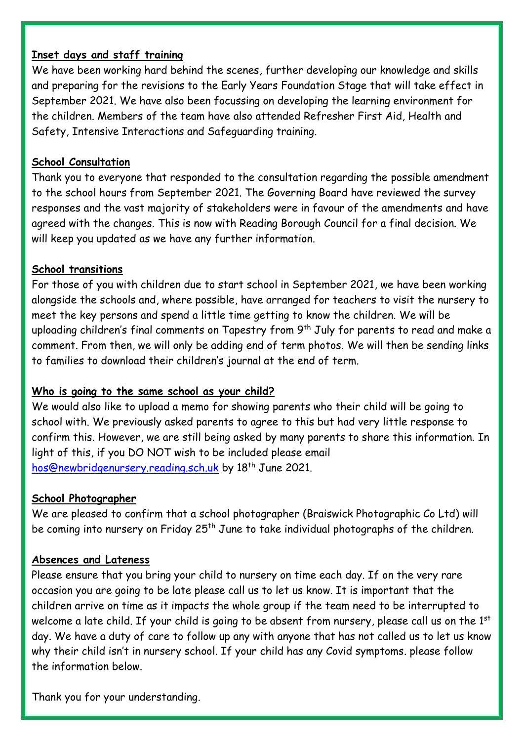#### **Inset days and staff training**

We have been working hard behind the scenes, further developing our knowledge and skills and preparing for the revisions to the Early Years Foundation Stage that will take effect in September 2021. We have also been focussing on developing the learning environment for the children. Members of the team have also attended Refresher First Aid, Health and Safety, Intensive Interactions and Safeguarding training.

#### **School Consultation**

Thank you to everyone that responded to the consultation regarding the possible amendment to the school hours from September 2021. The Governing Board have reviewed the survey responses and the vast majority of stakeholders were in favour of the amendments and have agreed with the changes. This is now with Reading Borough Council for a final decision. We will keep you updated as we have any further information.

#### **School transitions**

For those of you with children due to start school in September 2021, we have been working alongside the schools and, where possible, have arranged for teachers to visit the nursery to meet the key persons and spend a little time getting to know the children. We will be uploading children's final comments on Tapestry from 9<sup>th</sup> July for parents to read and make a comment. From then, we will only be adding end of term photos. We will then be sending links to families to download their children's journal at the end of term.

#### **Who is going to the same school as your child?**

We would also like to upload a memo for showing parents who their child will be going to school with. We previously asked parents to agree to this but had very little response to confirm this. However, we are still being asked by many parents to share this information. In light of this, if you DO NOT wish to be included please email [hos@newbridgenursery.reading.sch.uk](mailto:hos@newbridgenursery.reading.sch.uk) by 18<sup>th</sup> June 2021.

#### **School Photographer**

We are pleased to confirm that a school photographer (Braiswick Photographic Co Ltd) will be coming into nursery on Friday 25<sup>th</sup> June to take individual photographs of the children.

#### **Absences and Lateness**

Please ensure that you bring your child to nursery on time each day. If on the very rare occasion you are going to be late please call us to let us know. It is important that the children arrive on time as it impacts the whole group if the team need to be interrupted to welcome a late child. If your child is going to be absent from nursery, please call us on the 1<sup>st</sup> day. We have a duty of care to follow up any with anyone that has not called us to let us know why their child isn't in nursery school. If your child has any Covid symptoms. please follow the information below.

Thank you for your understanding.